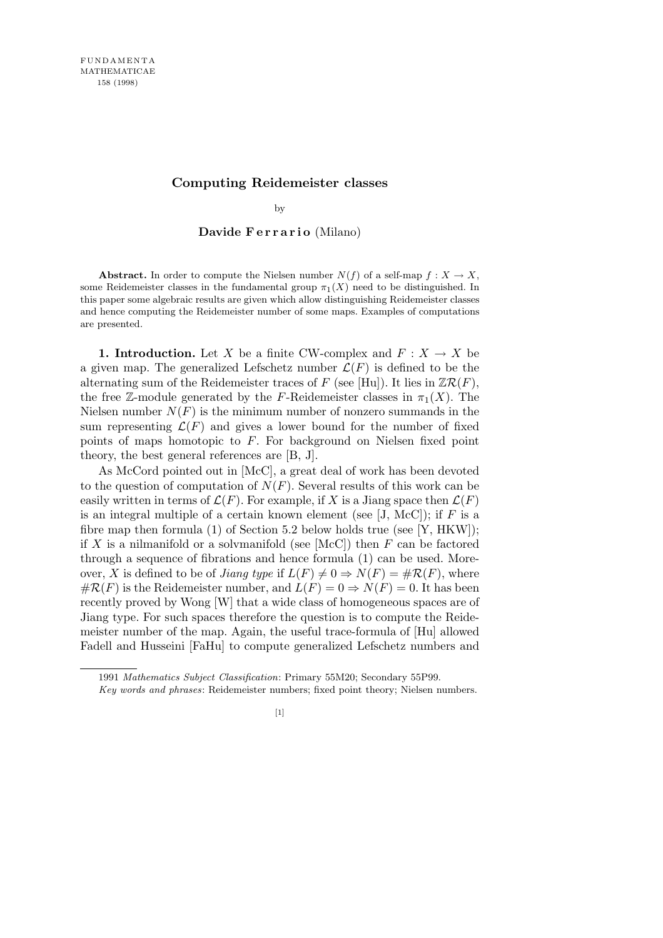## **Computing Reidemeister classes**

by

Davide Ferrario (Milano)

**Abstract.** In order to compute the Nielsen number  $N(f)$  of a self-map  $f : X \to X$ , some Reidemeister classes in the fundamental group  $\pi_1(X)$  need to be distinguished. In this paper some algebraic results are given which allow distinguishing Reidemeister classes and hence computing the Reidemeister number of some maps. Examples of computations are presented.

**1. Introduction.** Let *X* be a finite CW-complex and  $F: X \to X$  be a given map. The generalized Lefschetz number  $\mathcal{L}(F)$  is defined to be the alternating sum of the Reidemeister traces of  $F$  (see [Hu]). It lies in  $\mathbb{Z}\mathcal{R}(F)$ , the free Z-module generated by the *F*-Reidemeister classes in  $\pi_1(X)$ . The Nielsen number  $N(F)$  is the minimum number of nonzero summands in the sum representing  $\mathcal{L}(F)$  and gives a lower bound for the number of fixed points of maps homotopic to *F*. For background on Nielsen fixed point theory, the best general references are [B, J].

As McCord pointed out in [McC], a great deal of work has been devoted to the question of computation of  $N(F)$ . Several results of this work can be easily written in terms of  $\mathcal{L}(F)$ . For example, if X is a Jiang space then  $\mathcal{L}(F)$ is an integral multiple of a certain known element (see  $[J, \text{McC}])$ ; if  $F$  is a fibre map then formula (1) of Section 5.2 below holds true (see [Y, HKW]); if  $X$  is a nilmanifold or a solvmanifold (see  $[McC]$ ) then  $F$  can be factored through a sequence of fibrations and hence formula (1) can be used. Moreover, *X* is defined to be of *Jiang type* if  $L(F) \neq 0 \Rightarrow N(F) = \#R(F)$ , where  $\#R(F)$  is the Reidemeister number, and  $L(F) = 0 \Rightarrow N(F) = 0$ . It has been recently proved by Wong [W] that a wide class of homogeneous spaces are of Jiang type. For such spaces therefore the question is to compute the Reidemeister number of the map. Again, the useful trace-formula of [Hu] allowed Fadell and Husseini [FaHu] to compute generalized Lefschetz numbers and

<sup>1991</sup> *Mathematics Subject Classification*: Primary 55M20; Secondary 55P99.

*Key words and phrases*: Reidemeister numbers; fixed point theory; Nielsen numbers.

<sup>[1]</sup>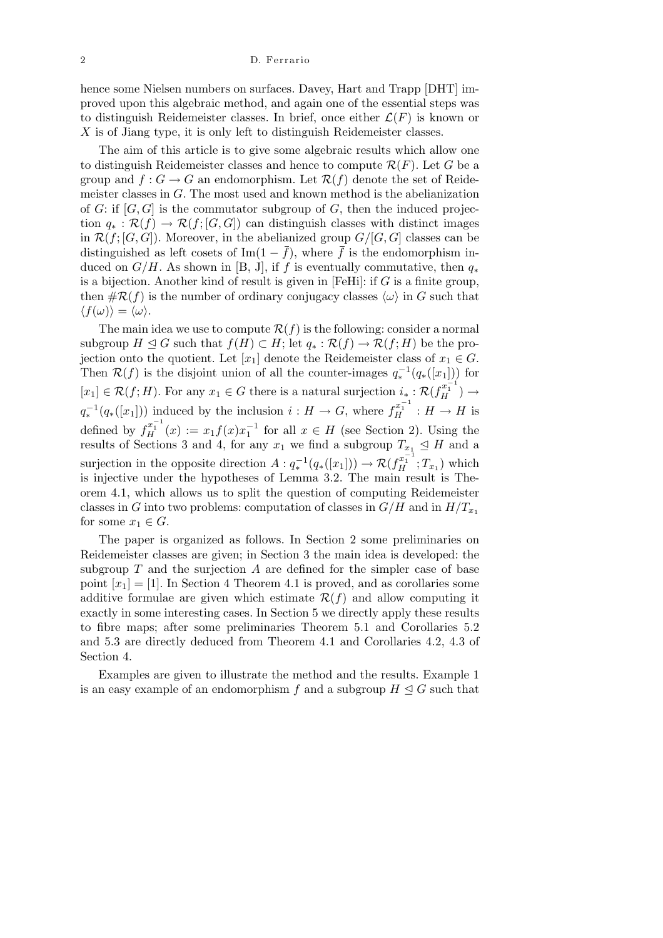hence some Nielsen numbers on surfaces. Davey, Hart and Trapp [DHT] improved upon this algebraic method, and again one of the essential steps was to distinguish Reidemeister classes. In brief, once either  $\mathcal{L}(F)$  is known or *X* is of Jiang type, it is only left to distinguish Reidemeister classes.

The aim of this article is to give some algebraic results which allow one to distinguish Reidemeister classes and hence to compute  $\mathcal{R}(F)$ . Let *G* be a group and  $f: G \to G$  an endomorphism. Let  $\mathcal{R}(f)$  denote the set of Reidemeister classes in *G*. The most used and known method is the abelianization of *G*: if [*G, G*] is the commutator subgroup of *G*, then the induced projection  $q_* : \mathcal{R}(f) \to \mathcal{R}(f; [G, G])$  can distinguish classes with distinct images in  $\mathcal{R}(f;[G,G])$ . Moreover, in the abelianized group  $G/[G,G]$  classes can be distinguished as left cosets of Im( $1 - \bar{f}$ ), where  $\bar{f}$  is the endomorphism induced on  $G/H$ . As shown in [B, J], if *f* is eventually commutative, then  $q_*$ is a bijection. Another kind of result is given in [FeHi]: if *G* is a finite group, then  $\#\mathcal{R}(f)$  is the number of ordinary conjugacy classes  $\langle \omega \rangle$  in *G* such that  $\langle f(\omega) \rangle = \langle \omega \rangle$ .

The main idea we use to compute  $\mathcal{R}(f)$  is the following: consider a normal subgroup  $H \subseteq G$  such that  $f(H) \subset H$ ; let  $q_* : \mathcal{R}(f) \to \mathcal{R}(f; H)$  be the projection onto the quotient. Let  $[x_1]$  denote the Reidemeister class of  $x_1 \in G$ . Then  $\mathcal{R}(f)$  is the disjoint union of all the counter-images  $q_*^{-1}(q_*(x_1))$  for  $[x_1] \in \mathcal{R}(f; H)$ . For any  $x_1 \in G$  there is a natural surjection  $i_* : \mathcal{R}(f_H^{x_1^{-1}}) \to$  $q_*^{-1}(q_*(x_1]))$  induced by the inclusion  $i : H \to G$ , where  $f_H^{x_1^{-1}} : H \to H$  is defined by  $f_H^{x_1^{-1}}(x) := x_1 f(x) x_1^{-1}$  for all  $x \in H$  (see Section 2). Using the results of Sections 3 and 4, for any  $x_1$  we find a subgroup  $T_{x_1} \trianglelefteq H$  and a surjection in the opposite direction  $A: q_*^{-1}(q_*([x_1])) \to \mathcal{R}(f_H^{x_1^{-1}}; T_{x_1})$  which is injective under the hypotheses of Lemma 3.2. The main result is Theorem 4.1, which allows us to split the question of computing Reidemeister classes in *G* into two problems: computation of classes in  $G/H$  and in  $H/T_{x_1}$ for some  $x_1 \in G$ .

The paper is organized as follows. In Section 2 some preliminaries on Reidemeister classes are given; in Section 3 the main idea is developed: the subgroup *T* and the surjection *A* are defined for the simpler case of base point  $[x_1] = [1]$ . In Section 4 Theorem 4.1 is proved, and as corollaries some additive formulae are given which estimate  $\mathcal{R}(f)$  and allow computing it exactly in some interesting cases. In Section 5 we directly apply these results to fibre maps; after some preliminaries Theorem 5.1 and Corollaries 5.2 and 5.3 are directly deduced from Theorem 4.1 and Corollaries 4.2, 4.3 of Section 4.

Examples are given to illustrate the method and the results. Example 1 is an easy example of an endomorphism f and a subgroup  $H \triangleleft G$  such that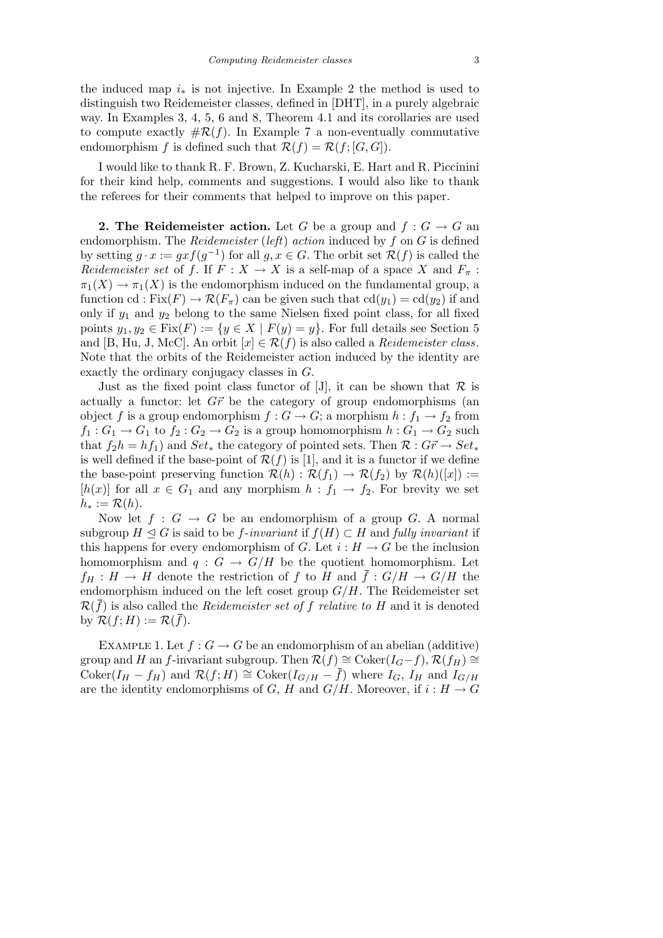the induced map  $i_{*}$  is not injective. In Example 2 the method is used to distinguish two Reidemeister classes, defined in [DHT], in a purely algebraic way. In Examples 3, 4, 5, 6 and 8, Theorem 4.1 and its corollaries are used to compute exactly  $\#\mathcal{R}(f)$ . In Example 7 a non-eventually commutative endomorphism *f* is defined such that  $\mathcal{R}(f) = \mathcal{R}(f; [G, G])$ .

I would like to thank R. F. Brown, Z. Kucharski, E. Hart and R. Piccinini for their kind help, comments and suggestions. I would also like to thank the referees for their comments that helped to improve on this paper.

**2. The Reidemeister action.** Let *G* be a group and  $f: G \to G$  and endomorphism. The *Reidemeister* (*left*) *action* induced by *f* on *G* is defined by setting  $g \cdot x := gxf(g^{-1})$  for all  $g, x \in G$ . The orbit set  $\mathcal{R}(f)$  is called the *Reidemeister set* of *f*. If  $F: X \to X$  is a self-map of a space X and  $F_{\pi}$ :  $\pi_1(X) \to \pi_1(X)$  is the endomorphism induced on the fundamental group, a function cd : Fix( $F$ )  $\rightarrow \mathcal{R}(F_\pi)$  can be given such that cd( $y_1$ ) = cd( $y_2$ ) if and only if  $y_1$  and  $y_2$  belong to the same Nielsen fixed point class, for all fixed points  $y_1, y_2 \in \text{Fix}(F) := \{y \in X \mid F(y) = y\}$ . For full details see Section 5 and [B, Hu, J, McC]. An orbit  $[x] \in \mathcal{R}(f)$  is also called a *Reidemeister class*. Note that the orbits of the Reidemeister action induced by the identity are exactly the ordinary conjugacy classes in *G*.

Just as the fixed point class functor of [J], it can be shown that  $R$  is actually a functor: let  $G\vec{r}$  be the category of group endomorphisms (an object *f* is a group endomorphism  $f: G \to G$ ; a morphism  $h: f_1 \to f_2$  from  $f_1: G_1 \to G_1$  to  $f_2: G_2 \to G_2$  is a group homomorphism  $h: G_1 \to G_2$  such that  $f_2h = hf_1$  and  $Set_*$  the category of pointed sets. Then  $\mathcal{R}: Gr \to Set_*$ is well defined if the base-point of  $\mathcal{R}(f)$  is [1], and it is a functor if we define the base-point preserving function  $\mathcal{R}(h) : \mathcal{R}(f_1) \to \mathcal{R}(f_2)$  by  $\mathcal{R}(h)([x]) :=$ [ $h(x)$ ] for all  $x \in G_1$  and any morphism  $h : f_1 \to f_2$ . For brevity we set  $h_* := \mathcal{R}(h).$ 

Now let  $f : G \to G$  be an endomorphism of a group *G*. A normal subgroup  $H \subseteq G$  is said to be *f*-*invariant* if  $f(H) \subset H$  and *fully invariant* if this happens for every endomorphism of *G*. Let  $i : H \to G$  be the inclusion homomorphism and  $q: G \to G/H$  be the quotient homomorphism. Let  $f_H : H \to H$  denote the restriction of *f* to *H* and  $\bar{f} : G/H \to G/H$  the endomorphism induced on the left coset group *G/H*. The Reidemeister set  $\mathcal{R}(\bar{f})$  is also called the *Reidemeister set of f relative to H* and it is denoted by  $\mathcal{R}(f;H) := \mathcal{R}(\bar{f}).$ 

EXAMPLE 1. Let  $f: G \to G$  be an endomorphism of an abelian (additive) group and *H* an *f*-invariant subgroup. Then  $\mathcal{R}(f) \cong \text{Coker}(I_G - f), \mathcal{R}(f_H) \cong$  $\text{Coker}(I_H - f_H)$  and  $\mathcal{R}(f; H) \cong \text{Coker}(I_{G/H} - \bar{f})$  where  $I_G$ ,  $I_H$  and  $I_{G/H}$ are the identity endomorphisms of *G*, *H* and *G*/*H*. Moreover, if  $i : H \to G$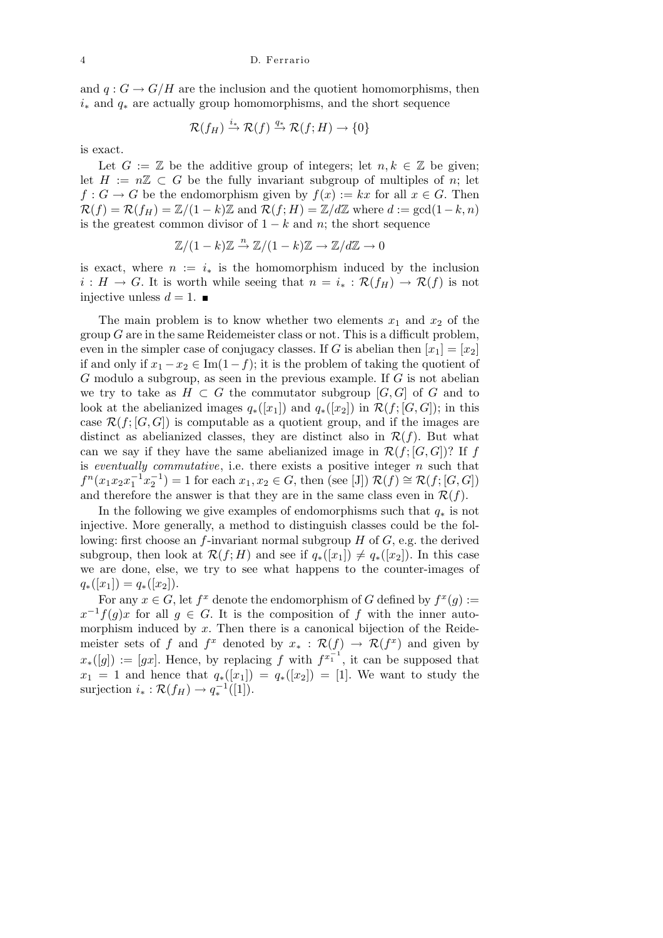and  $q: G \to G/H$  are the inclusion and the quotient homomorphisms, then *i<sup>∗</sup>* and *q<sup>∗</sup>* are actually group homomorphisms, and the short sequence

$$
\mathcal{R}(f_H) \stackrel{i_*}{\to} \mathcal{R}(f) \stackrel{q_*}{\to} \mathcal{R}(f;H) \to \{0\}
$$

is exact.

Let  $G := \mathbb{Z}$  be the additive group of integers; let  $n, k \in \mathbb{Z}$  be given; let  $H := n\mathbb{Z} \subset G$  be the fully invariant subgroup of multiples of *n*; let  $f: G \to G$  be the endomorphism given by  $f(x) := kx$  for all  $x \in G$ . Then  $\mathcal{R}(f) = \mathcal{R}(f) = \mathbb{Z}/(1-k)\mathbb{Z}$  and  $\mathcal{R}(f;H) = \mathbb{Z}/d\mathbb{Z}$  where  $d := \gcd(1-k,n)$ is the greatest common divisor of  $1 - k$  and *n*; the short sequence

$$
\mathbb{Z}/(1-k)\mathbb{Z} \stackrel{n}{\to} \mathbb{Z}/(1-k)\mathbb{Z} \to \mathbb{Z}/d\mathbb{Z} \to 0
$$

is exact, where  $n := i_*$  is the homomorphism induced by the inclusion  $i: H \to G$ . It is worth while seeing that  $n = i_* : \mathcal{R}(f_H) \to \mathcal{R}(f)$  is not injective unless  $d = 1$ .

The main problem is to know whether two elements  $x_1$  and  $x_2$  of the group *G* are in the same Reidemeister class or not. This is a difficult problem, even in the simpler case of conjugacy classes. If *G* is abelian then  $[x_1] = [x_2]$ if and only if  $x_1 - x_2 \in \text{Im}(1 - f)$ ; it is the problem of taking the quotient of *G* modulo a subgroup, as seen in the previous example. If *G* is not abelian we try to take as  $H \subset G$  the commutator subgroup  $[G, G]$  of  $G$  and to look at the abelianized images  $q_*(x_1)$  and  $q_*(x_2)$  in  $\mathcal{R}(f;[G,G])$ ; in this case  $\mathcal{R}(f;[G,G])$  is computable as a quotient group, and if the images are distinct as abelianized classes, they are distinct also in  $\mathcal{R}(f)$ . But what can we say if they have the same abelianized image in  $\mathcal{R}(f;[G,G])$ ? If *f* is *eventually commutative*, i.e. there exists a positive integer *n* such that  $f^{n}(x_{1}x_{2}x_{1}^{-1}x_{2}^{-1}) = 1$  for each  $x_{1}, x_{2} \in G$ , then (see [J])  $\mathcal{R}(f) \cong \mathcal{R}(f; [G, G])$ and therefore the answer is that they are in the same class even in  $\mathcal{R}(f)$ .

In the following we give examples of endomorphisms such that *q<sup>∗</sup>* is not injective. More generally, a method to distinguish classes could be the following: first choose an *f*-invariant normal subgroup *H* of *G*, e.g. the derived subgroup, then look at  $\mathcal{R}(f; H)$  and see if  $q_*(x_1) \neq q_*(x_2)$ . In this case we are done, else, we try to see what happens to the counter-images of  $q_*([x_1]) = q_*([x_2]).$ 

For any  $x \in G$ , let  $f^x$  denote the endomorphism of *G* defined by  $f^x(g) :=$  $x^{-1}f(g)x$  for all  $g \in G$ . It is the composition of *f* with the inner automorphism induced by x. Then there is a canonical bijection of the Reidemeister sets of *f* and  $f^x$  denoted by  $x_* : \mathcal{R}(f) \to \mathcal{R}(f^x)$  and given by  $x$ <sup>\*</sup>([g]) := [gx]. Hence, by replacing f with  $f^{x_1^{-1}}$ , it can be supposed that  $x_1 = 1$  and hence that  $q_*(x_1) = q_*(x_2) = 1$ . We want to study the surjection  $i_* : \mathcal{R}(f_H) \to q_*^{-1}([1]).$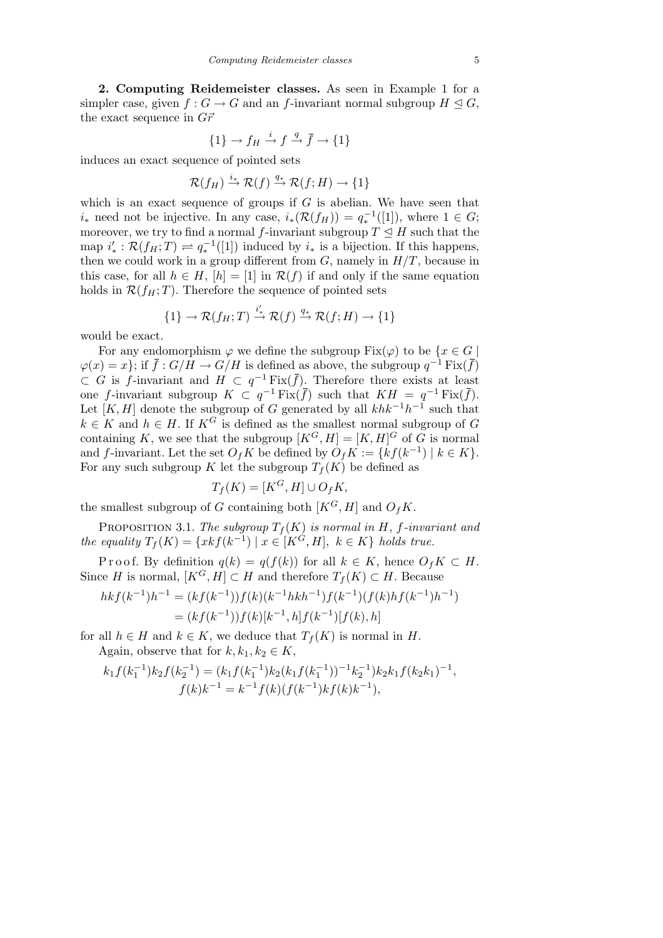**2. Computing Reidemeister classes.** As seen in Example 1 for a simpler case, given  $f: G \to G$  and an *f*-invariant normal subgroup  $H \trianglelefteq G$ , the exact sequence in  $G\vec{r}$ 

$$
\{1\} \to f_H \xrightarrow{i} f \xrightarrow{q} \overline{f} \to \{1\}
$$

induces an exact sequence of pointed sets

$$
\mathcal{R}(f_H) \stackrel{i_*}{\to} \mathcal{R}(f) \stackrel{q_*}{\to} \mathcal{R}(f;H) \to \{1\}
$$

which is an exact sequence of groups if  $G$  is abelian. We have seen that *i*<sup>∗</sup> need not be injective. In any case,  $i_*(\mathcal{R}(f_H)) = q_*^{-1}([1])$ , where 1 ∈ *G*; moreover, we try to find a normal *f*-invariant subgroup  $T \leq H$  such that the map  $i'_{*}: \mathcal{R}(f_{H};T) \rightleftharpoons q_{*}^{-1}([1])$  induced by  $i_{*}$  is a bijection. If this happens, then we could work in a group different from  $G$ , namely in  $H/T$ , because in this case, for all  $h \in H$ ,  $[h] = [1]$  in  $\mathcal{R}(f)$  if and only if the same equation holds in  $\mathcal{R}(f_H; T)$ . Therefore the sequence of pointed sets

$$
\{1\} \to \mathcal{R}(f_H; T) \stackrel{i'_*}{\to} \mathcal{R}(f) \stackrel{q_*}{\to} \mathcal{R}(f; H) \to \{1\}
$$

would be exact.

For any endomorphism  $\varphi$  we define the subgroup  $Fix(\varphi)$  to be  $\{x \in G \mid$  $\varphi(x) = x$ ; if  $\bar{f}: G/H \to G/H$  is defined as above, the subgroup  $q^{-1} \text{Fix}(\bar{f})$  $\subset$  *G* is *f*-invariant and *H*  $\subset$  *q*<sup>-1</sup> Fix( $\overline{f}$ ). Therefore there exists at least one *f*-invariant subgroup  $K \subset q^{-1} \text{Fix}(\bar{f})$  such that  $KH = q^{-1} \text{Fix}(\bar{f}).$ Let  $[K, H]$  denote the subgroup of *G* generated by all  $khk^{-1}h^{-1}$  such that  $k \in K$  and  $h \in H$ . If  $K^G$  is defined as the smallest normal subgroup of *G* containing *K*, we see that the subgroup  $[K^G, H] = [K, H]^G$  of *G* is normal and *f*-invariant. Let the set  $O_f K$  be defined by  $O_f K := \{kf(k^{-1}) \mid k \in K\}.$ For any such subgroup *K* let the subgroup  $T_f(K)$  be defined as

$$
T_f(K) = [K^G, H] \cup O_f K,
$$

the smallest subgroup of *G* containing both  $[K^G, H]$  and  $O_fK$ .

PROPOSITION 3.1. *The subgroup*  $T_f(K)$  *is normal in H*, *f-invariant and the equality*  $T_f(K) = \{xkf(k^{-1}) \mid x \in [K^G, H], k \in K\}$  *holds true.* 

Proof. By definition  $q(k) = q(f(k))$  for all  $k \in K$ , hence  $O_f K \subset H$ . Since *H* is normal,  $[K^G, H] \subset H$  and therefore  $T_f(K) \subset H$ . Because

$$
hk f(k^{-1})h^{-1} = (kf(k^{-1}))f(k)(k^{-1}hkh^{-1})f(k^{-1})(f(k)hf(k^{-1})h^{-1})
$$
  
=  $(kf(k^{-1}))f(k)[k^{-1},h]f(k^{-1})[f(k),h]$ 

for all  $h \in H$  and  $k \in K$ , we deduce that  $T_f(K)$  is normal in *H*. Again, observe that for  $k, k_1, k_2 \in K$ ,

$$
k_1 f(k_1^{-1}) k_2 f(k_2^{-1}) = (k_1 f(k_1^{-1}) k_2 (k_1 f(k_1^{-1}))^{-1} k_2^{-1}) k_2 k_1 f(k_2 k_1)^{-1},
$$
  

$$
f(k) k^{-1} = k^{-1} f(k) (f(k^{-1}) k f(k) k^{-1}),
$$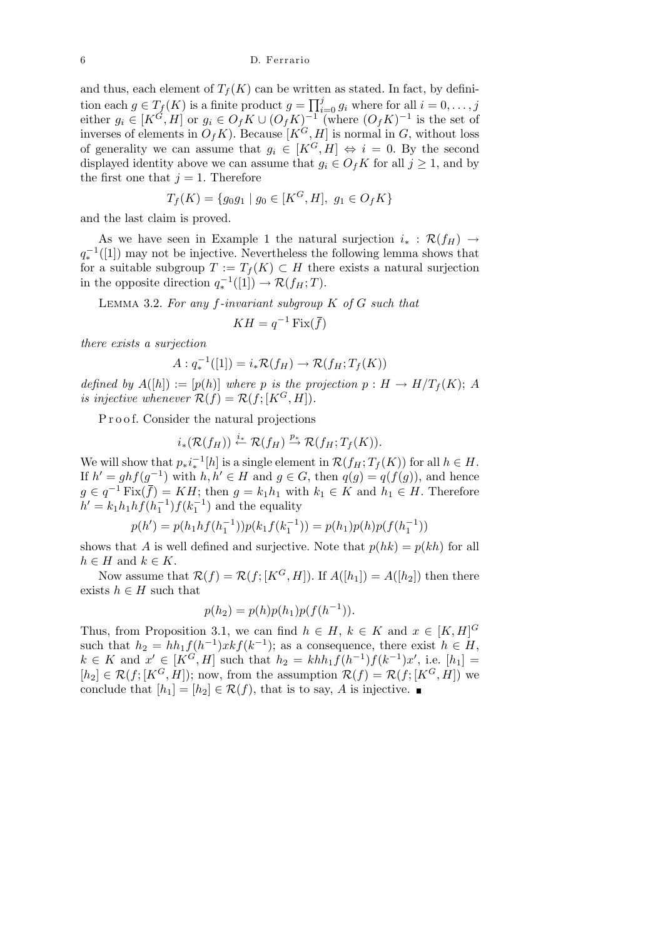and thus, each element of  $T_f(K)$  can be written as stated. In fact, by definition each  $g \in T_f(K)$  is a finite product  $g = \prod_i^j$  $\sum_{i=0}^{j} g_i$  where for all  $i = 0, \ldots, j$ either  $g_i \in [K^{\tilde{G}}, H]$  or  $g_i \in O_f K \cup (O_f K)^{-1}$  (where  $(O_f K)^{-1}$  is the set of inverses of elements in  $O_f K$ ). Because  $[K^G, H]$  is normal in *G*, without loss of generality we can assume that  $g_i \in [K^G, H] \Leftrightarrow i = 0$ . By the second displayed identity above we can assume that  $g_i \in O_f K$  for all  $j \geq 1$ , and by the first one that  $j = 1$ . Therefore

$$
T_f(K) = \{g_0g_1 \mid g_0 \in [K^G, H], g_1 \in O_f K\}
$$

and the last claim is proved.

As we have seen in Example 1 the natural surjection  $i_* : \mathcal{R}(f_H) \to$  $q_*^{-1}([1])$  may not be injective. Nevertheless the following lemma shows that for a suitable subgroup  $T := T_f(K) \subset H$  there exists a natural surjection in the opposite direction  $q_*^{-1}([1]) \to \mathcal{R}(f_H;T)$ .

Lemma 3.2. *For any f-invariant subgroup K of G such that*

$$
KH = q^{-1}\operatorname{Fix}(\bar{f})
$$

*there exists a surjection*

$$
A: q_*^{-1}([1]) = i_*\mathcal{R}(f_H) \to \mathcal{R}(f_H; T_f(K))
$$

*defined by*  $A([h]) := [p(h)]$  *where p is the projection*  $p : H \to H/T_f(K);$  *A is injective whenever*  $\mathcal{R}(f) = \mathcal{R}(f; [K^G, H]).$ 

P r o o f. Consider the natural projections

$$
i_*(\mathcal{R}(f_H)) \stackrel{i_*}{\leftarrow} \mathcal{R}(f_H) \stackrel{p_*}{\rightarrow} \mathcal{R}(f_H;T_f(K)).
$$

We will show that  $p_*i_*^{-1}[h]$  is a single element in  $\mathcal{R}(f_H; T_f(K))$  for all  $h \in H$ . If  $h' = ghf(g^{-1})$  with  $h, h' \in H$  and  $g \in G$ , then  $q(g) = q(f(g))$ , and hence *g* ∈  $q^{-1}$  Fix( $\bar{f}$ ) = *KH*; then *g* =  $k_1h_1$  with  $k_1 \in K$  and  $h_1 \in H$ . Therefore  $h' = k_1 h_1 h f(h_1^{-1}) f(k_1^{-1})$  and the equality

$$
p(h') = p(h_1 h f(h_1^{-1})) p(k_1 f(k_1^{-1})) = p(h_1) p(h) p(f(h_1^{-1}))
$$

shows that *A* is well defined and surjective. Note that  $p(hk) = p(kh)$  for all  $h \in H$  and  $k \in K$ .

Now assume that  $\mathcal{R}(f) = \mathcal{R}(f; [K^G, H])$ . If  $A([h_1]) = A([h_2])$  then there exists  $h \in H$  such that

$$
p(h_2) = p(h)p(h_1)p(f(h^{-1})).
$$

Thus, from Proposition 3.1, we can find  $h \in H$ ,  $k \in K$  and  $x \in [K, H]^G$ such that  $h_2 = hh_1f(h^{-1})xkf(k^{-1})$ ; as a consequence, there exist  $h \in H$ ,  $k \in K$  and  $x' \in [K^G, H]$  such that  $h_2 = khh_1f(h^{-1})f(k^{-1})x'$ , i.e.  $[h_1] =$  $[h_2] \in \mathcal{R}(f; [K^G, H])$ ; now, from the assumption  $\mathcal{R}(f) = \mathcal{R}(f; [K^G, H])$  we conclude that  $[h_1] = [h_2] \in \mathcal{R}(f)$ , that is to say, *A* is injective.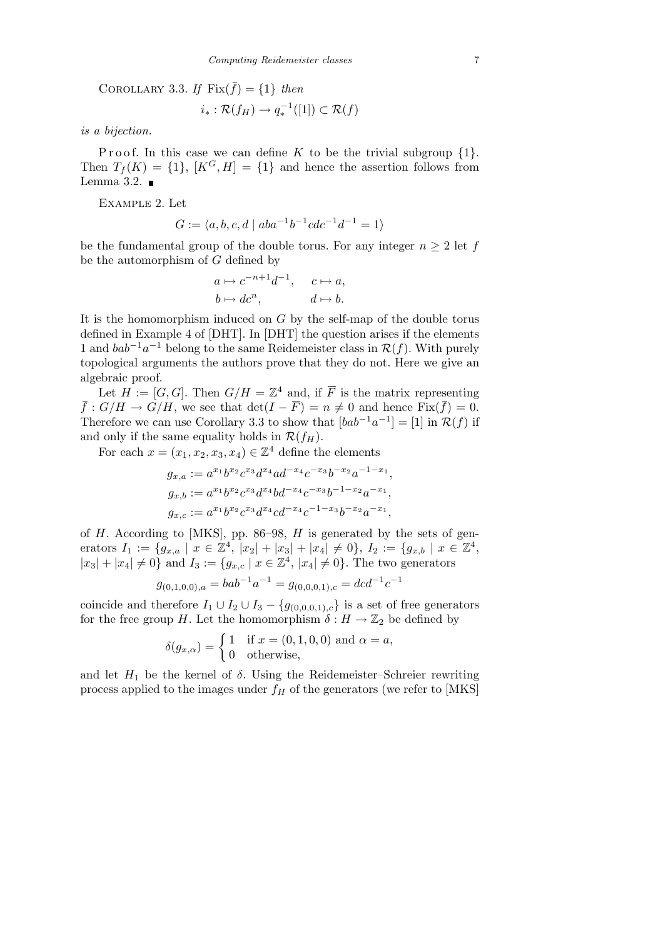COROLLARY 3.3. If  $Fix(\bar{f}) = \{1\}$  *then* 

$$
i_*:\mathcal{R}(f_H)\to q_*^{-1}([1])\subset\mathcal{R}(f)
$$

*is a bijection.*

Proof. In this case we can define K to be the trivial subgroup  $\{1\}$ . Then  $T_f(K) = \{1\}$ ,  $[K^G, H] = \{1\}$  and hence the assertion follows from Lemma 3.2.  $\blacksquare$ 

Example 2. Let

$$
G := \langle a, b, c, d \mid aba^{-1}b^{-1}cdc^{-1}d^{-1} = 1 \rangle
$$

be the fundamental group of the double torus. For any integer  $n \geq 2$  let f be the automorphism of *G* defined by

$$
a \mapsto c^{-n+1}d^{-1}, \quad c \mapsto a,
$$
  

$$
b \mapsto dc^n, \qquad d \mapsto b.
$$

It is the homomorphism induced on *G* by the self-map of the double torus defined in Example 4 of [DHT]. In [DHT] the question arises if the elements 1 and  $bab^{-1}a^{-1}$  belong to the same Reidemeister class in  $\mathcal{R}(f)$ . With purely topological arguments the authors prove that they do not. Here we give an algebraic proof.

Let  $H := [G, G]$ . Then  $G/H = \mathbb{Z}^4$  and, if  $\overline{F}$  is the matrix representing  $\bar{f}: G/H \to G/H$ , we see that  $\det(I - \bar{F}) = n \neq 0$  and hence  $\text{Fix}(\bar{f}) = 0$ . Therefore we can use Corollary 3.3 to show that  $[bab^{-1}a^{-1}] = [1]$  in  $\mathcal{R}(f)$  if and only if the same equality holds in  $\mathcal{R}(f_H)$ .

For each  $x = (x_1, x_2, x_3, x_4) \in \mathbb{Z}^4$  define the elements

$$
g_{x,a} := a^{x_1}b^{x_2}c^{x_3}d^{x_4}ad^{-x_4}c^{-x_3}b^{-x_2}a^{-1-x_1},
$$
  
\n
$$
g_{x,b} := a^{x_1}b^{x_2}c^{x_3}d^{x_4}bd^{-x_4}c^{-x_3}b^{-1-x_2}a^{-x_1},
$$
  
\n
$$
g_{x,c} := a^{x_1}b^{x_2}c^{x_3}d^{x_4}cd^{-x_4}c^{-1-x_3}b^{-x_2}a^{-x_1},
$$

of *H*. According to [MKS], pp. 86–98, *H* is generated by the sets of generators  $I_1 := \{g_{x,a} \mid x \in \mathbb{Z}^4, |x_2| + |x_3| + |x_4| \neq 0\}, I_2 := \{g_{x,b} \mid x \in \mathbb{Z}^4,$  $|x_3| + |x_4| \neq 0$  and  $I_3 := \{g_{x,c} \mid x \in \mathbb{Z}^4, |x_4| \neq 0\}$ . The two generators

$$
g_{(0,1,0,0),a} = bab^{-1}a^{-1} = g_{(0,0,0,1),c} = dcd^{-1}c^{-1}
$$

coincide and therefore  $I_1 \cup I_2 \cup I_3 - \{g_{(0,0,0,1),c}\}\)$  is a set of free generators for the free group *H*. Let the homomorphism  $\delta : H \to \mathbb{Z}_2$  be defined by

$$
\delta(g_{x,\alpha}) = \begin{cases} 1 & \text{if } x = (0,1,0,0) \text{ and } \alpha = a, \\ 0 & \text{otherwise,} \end{cases}
$$

and let  $H_1$  be the kernel of  $\delta$ . Using the Reidemeister–Schreier rewriting process applied to the images under  $f_H$  of the generators (we refer to [MKS]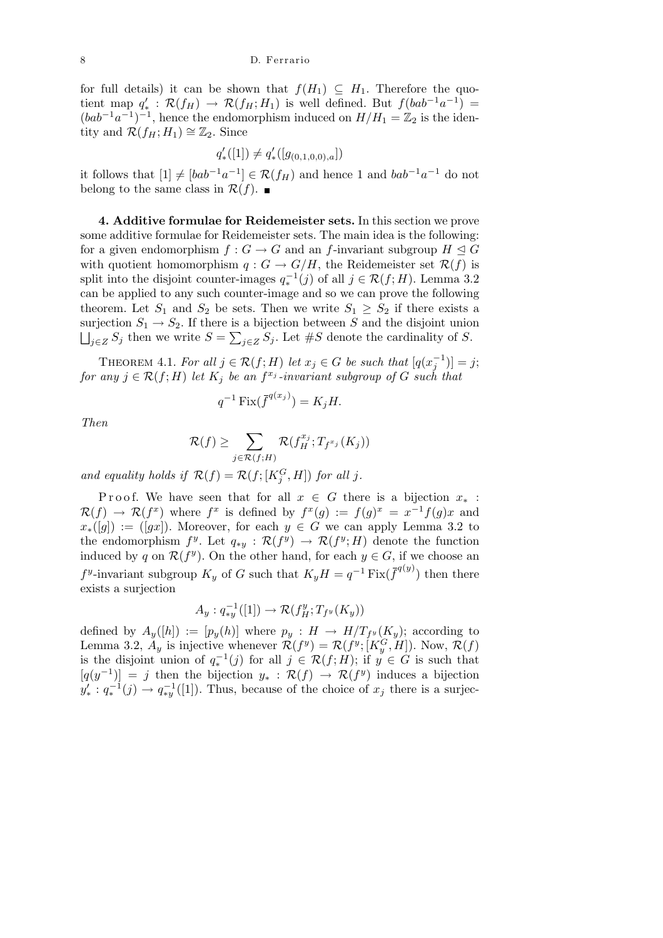for full details) it can be shown that  $f(H_1) \subseteq H_1$ . Therefore the quotient map  $q'_{*}$ :  $\mathcal{R}(f_H) \rightarrow \mathcal{R}(f_H; H_1)$  is well defined. But  $f(bab^{-1}a^{-1}) =$  $(bab^{-1}a^{-1})^{-1}$ , hence the endomorphism induced on  $H/H_1 = \mathbb{Z}_2$  is the identity and  $\mathcal{R}(f_H; H_1) \cong \mathbb{Z}_2$ . Since

$$
q'_{*}([1]) \neq q'_{*}([g_{(0,1,0,0),a}])
$$

it follows that  $[1] \neq [bab^{-1}a^{-1}] \in \mathcal{R}(f_H)$  and hence 1 and  $bab^{-1}a^{-1}$  do not belong to the same class in  $\mathcal{R}(f)$ .

**4. Additive formulae for Reidemeister sets.** In this section we prove some additive formulae for Reidemeister sets. The main idea is the following: for a given endomorphism  $f: G \to G$  and an *f*-invariant subgroup  $H \subseteq G$ with quotient homomorphism  $q: G \to G/H$ , the Reidemeister set  $\mathcal{R}(f)$  is split into the disjoint counter-images  $q_*^{-1}(j)$  of all  $j \in \mathcal{R}(f; H)$ . Lemma 3.2 can be applied to any such counter-image and so we can prove the following theorem. Let  $S_1$  and  $S_2$  be sets. Then we write  $S_1 \geq S_2$  if there exists a surjection  $S_1 \to S_2$ . If there is a bijection between *S* and the disjoint union *j*∈*Z*  $S_j$  then we write  $S = \sum_{j \in Z} S_j$ . Let  $#S$  denote the cardinality of *S*.

THEOREM 4.1. For all  $j \in \mathcal{R}(f; H)$  let  $x_j \in G$  be such that  $[q(x_j^{-1})] = j$ ;  $f$ *or* any  $j \in \mathcal{R}(f; H)$  *let*  $K_j$  *be an*  $f^{x_j}$ -invariant subgroup of  $G$  such that

$$
q^{-1}\operatorname{Fix}(\overline{f}^{q(x_j)})=K_jH.
$$

*Then*

$$
\mathcal{R}(f) \ge \sum_{j \in \mathcal{R}(f;H)} \mathcal{R}(f_H^{x_j}; T_{f^{x_j}}(K_j))
$$

and equality holds if  $\mathcal{R}(f) = \mathcal{R}(f; [K_j^G, H])$  for all j.

Proof. We have seen that for all  $x \in G$  there is a bijection  $x_*$ :  $\mathcal{R}(f) \to \mathcal{R}(f^x)$  where  $f^x$  is defined by  $f^x(g) := f(g)^x = x^{-1}f(g)x$  and  $x$ <sup>\*</sup>([*g*]) := ([*gx*]). Moreover, for each  $y \in G$  we can apply Lemma 3.2 to the endomorphism  $f^y$ . Let  $q_{*y}$ :  $\mathcal{R}(f^y) \to \mathcal{R}(f^y; H)$  denote the function induced by *q* on  $\mathcal{R}(f^y)$ . On the other hand, for each  $y \in G$ , if we choose an *f*<sup>*y*</sup>-invariant subgroup *K<sub>y</sub>* of *G* such that  $K_yH = q^{-1}$  Fix( $\bar{f}^{q(y)}$ ) then there exists a surjection

$$
A_y: q_{*y}^{-1}([1]) \to \mathcal{R}(f_H^y; T_{f^y}(K_y))
$$

defined by  $A_y([h]) := [p_y(h)]$  where  $p_y : H \to H/T_{f^y}(K_y)$ ; according to Lemma 3.2,  $A_y$  is injective whenever  $\mathcal{R}(f^y) = \mathcal{R}(f^y; [K_y^G, H])$ . Now,  $\mathcal{R}(f)$ is the disjoint union of  $q_*^{-1}(j)$  for all  $j \in \mathcal{R}(f; H)$ ; if  $y \in G$  is such that  $[q(y^{-1})] = j$  then the bijection  $y_* : \mathcal{R}(f) \to \mathcal{R}(f^y)$  induces a bijection  $y'_* : q_*^{-1}(j) \to q_{*y}^{-1}([1])$ . Thus, because of the choice of  $x_j$  there is a surjec-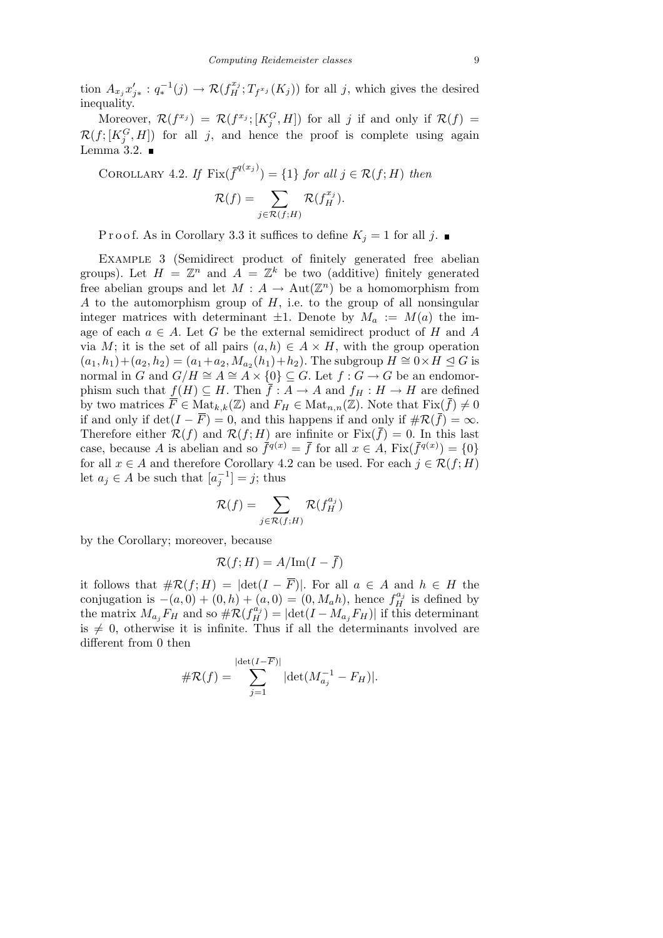tion  $A_{x_j}x'_{j*}: q_*^{-1}(j) \to \mathcal{R}(f_H^{x_j}; T_{f^{x_j}}(K_j))$  for all j, which gives the desired inequality.

Moreover,  $\mathcal{R}(f^{x_j}) = \mathcal{R}(f^{x_j}; [K_j^G, H])$  for all *j* if and only if  $\mathcal{R}(f) =$  $\mathcal{R}(f; [K_j^G, H])$  for all *j*, and hence the proof is complete using again Lemma 3.2.  $\blacksquare$ 

COROLLARY 4.2. If 
$$
\text{Fix}(\overline{f}^{q(x_j)}) = \{1\}
$$
 for all  $j \in \mathcal{R}(f; H)$  then\n
$$
\mathcal{R}(f) = \sum_{j \in \mathcal{R}(f; H)} \mathcal{R}(f_H^{x_j}).
$$

P r o o f. As in Corollary 3.3 it suffices to define  $K_j = 1$  for all j.

Example 3 (Semidirect product of finitely generated free abelian groups). Let  $H = \mathbb{Z}^n$  and  $A = \mathbb{Z}^k$  be two (additive) finitely generated free abelian groups and let  $M: A \to Aut(\mathbb{Z}^n)$  be a homomorphism from *A* to the automorphism group of *H*, i.e. to the group of all nonsingular integer matrices with determinant  $\pm 1$ . Denote by  $M_a := M(a)$  the image of each  $a \in A$ . Let  $G$  be the external semidirect product of  $H$  and  $A$ via *M*; it is the set of all pairs  $(a, h) \in A \times H$ , with the group operation  $(a_1, h_1) + (a_2, h_2) = (a_1 + a_2, M_{a_2}(h_1) + h_2)$ . The subgroup  $H \cong 0 \times H \leq G$  is normal in *G* and  $G/H \cong A \cong A \times \{0\} \subseteq G$ . Let  $f : G \to G$  be an endomorphism such that  $f(H) \subseteq H$ . Then  $\overline{f}: A \to A$  and  $f_H: H \to H$  are defined by two matrices  $\overline{F} \in \text{Mat}_{k,k}(\mathbb{Z})$  and  $F_H \in \text{Mat}_{n,n}(\mathbb{Z})$ . Note that  $\text{Fix}(\overline{f}) \neq 0$ if and only if  $\det(I - \overline{F}) = 0$ , and this happens if and only if  $\#\mathcal{R}(\overline{f}) = \infty$ . Therefore either  $\mathcal{R}(f)$  and  $\mathcal{R}(f;H)$  are infinite or  $Fix(\bar{f})=0$ . In this last case, because *A* is abelian and so  $\bar{f}^{q(x)} = \bar{f}$  for all  $x \in A$ ,  $\text{Fix}(\bar{f}^{q(x)}) = \{0\}$ for all  $x \in A$  and therefore Corollary 4.2 can be used. For each  $j \in \mathcal{R}(f; H)$ let  $a_j \in A$  be such that  $[a_j^{-1}] = j$ ; thus

$$
\mathcal{R}(f) = \sum_{j \in \mathcal{R}(f;H)} \mathcal{R}(f_H^{a_j})
$$

by the Corollary; moreover, because

$$
\mathcal{R}(f;H) = A/\text{Im}(I - \overline{f})
$$

it follows that  $\#\mathcal{R}(f;H) = |\det(I - \overline{F})|$ . For all  $a \in A$  and  $h \in H$  the conjugation is  $-(a, 0) + (0, h) + (a, 0) = (0, M_a h)$ , hence  $f_H^{a_j}$  is defined by the matrix  $M_{a_j}F_H$  and so  $\#\mathcal{R}(f_H^{a_j}) = |\text{det}(I - M_{a_j}F_H)|$  if this determinant is  $\neq$  0, otherwise it is infinite. Thus if all the determinants involved are different from 0 then

$$
\#\mathcal{R}(f) = \sum_{j=1}^{|\det(I - \overline{F})|} |\det(M_{a_j}^{-1} - F_H)|.
$$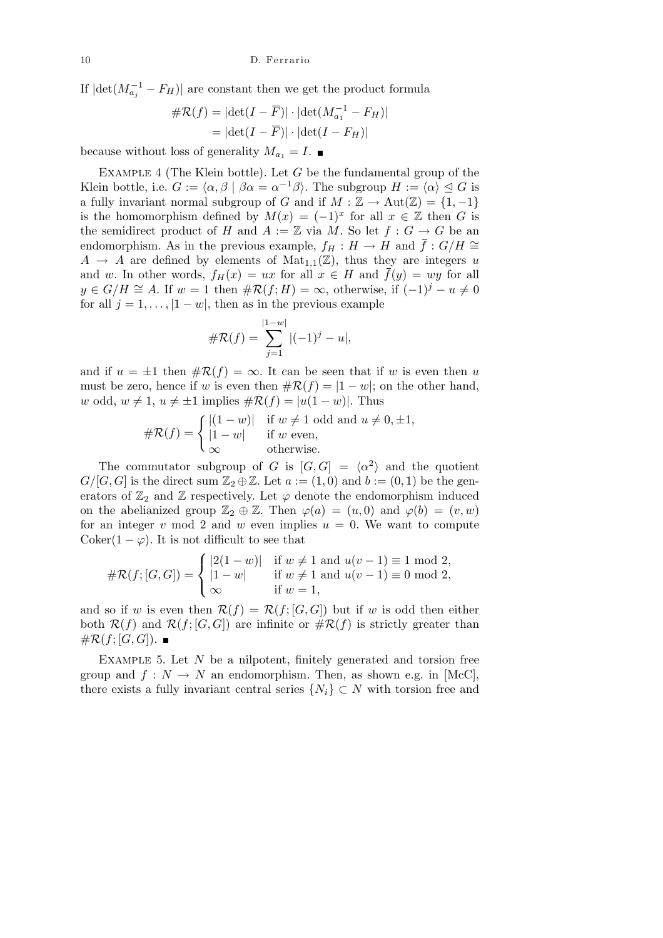If  $|\text{det}(M_{a_j}^{-1} - F_H)|$  are constant then we get the product formula

$$
\#\mathcal{R}(f) = |\det(I - \overline{F})| \cdot |\det(M_{a_1}^{-1} - F_H)|
$$

$$
= |\det(I - \overline{F})| \cdot |\det(I - F_H)|
$$

because without loss of generality  $M_{a_1} = I$ .

Example 4 (The Klein bottle). Let *G* be the fundamental group of the Klein bottle, i.e.  $G := \langle \alpha, \beta | \beta \alpha = \alpha^{-1} \beta \rangle$ . The subgroup  $H := \langle \alpha \rangle \leq G$  is a fully invariant normal subgroup of *G* and if  $M : \mathbb{Z} \to \text{Aut}(\mathbb{Z}) = \{1, -1\}$ is the homomorphism defined by  $M(x) = (-1)^x$  for all  $x \in \mathbb{Z}$  then *G* is the semidirect product of *H* and  $A := \mathbb{Z}$  via *M*. So let  $f : G \to G$  be an endomorphism. As in the previous example,  $f_H : H \to H$  and  $\bar{f} : G/H \cong$  $A \rightarrow A$  are defined by elements of  $Mat_{1,1}(\mathbb{Z})$ , thus they are integers *u* and *w*. In other words,  $f_H(x) = ux$  for all  $x \in H$  and  $\bar{f}(y) = wy$  for all *y* ∈ *G*/*H*  $\cong$  *A*. If *w* = 1 then  $\# \mathcal{R}(f; H) = \infty$ , otherwise, if  $(-1)^j - u \neq 0$ for all  $j = 1, \ldots, |1 - w|$ , then as in the previous example

$$
\#\mathcal{R}(f) = \sum_{j=1}^{|1-w|} |(-1)^j - u|,
$$

and if  $u = \pm 1$  then  $\#\mathcal{R}(f) = \infty$ . It can be seen that if *w* is even then *u* must be zero, hence if *w* is even then  $\#\mathcal{R}(f) = |1 - w|$ ; on the other hand, *w* odd,  $w ≠ 1$ ,  $u ≠ ±1$  implies  $#R(f) = |u(1 - w)|$ . Thus

$$
\#\mathcal{R}(f) = \begin{cases} |(1-w)| & \text{if } w \neq 1 \text{ odd and } u \neq 0, \pm 1, \\ |1-w| & \text{if } w \text{ even,} \\ \infty & \text{otherwise.} \end{cases}
$$

The commutator subgroup of *G* is  $|G, G| = \langle \alpha^2 \rangle$  and the quotient  $G/[G, G]$  is the direct sum  $\mathbb{Z}_2 \oplus \mathbb{Z}$ . Let  $a := (1, 0)$  and  $b := (0, 1)$  be the generators of  $\mathbb{Z}_2$  and  $\mathbb Z$  respectively. Let  $\varphi$  denote the endomorphism induced on the abelianized group  $\mathbb{Z}_2 \oplus \mathbb{Z}$ . Then  $\varphi(a) = (u,0)$  and  $\varphi(b) = (v,w)$ for an integer  $v \mod 2$  and  $w$  even implies  $u = 0$ . We want to compute Coker( $1 - \varphi$ ). It is not difficult to see that  $\overline{\phantom{a}}$ 

$$
\#\mathcal{R}(f;[G,G]) = \begin{cases} |2(1-w)| & \text{if } w \neq 1 \text{ and } u(v-1) \equiv 1 \text{ mod } 2, \\ |1-w| & \text{if } w \neq 1 \text{ and } u(v-1) \equiv 0 \text{ mod } 2, \\ \infty & \text{if } w = 1, \end{cases}
$$

and so if *w* is even then  $\mathcal{R}(f) = \mathcal{R}(f; [G, G])$  but if *w* is odd then either both  $\mathcal{R}(f)$  and  $\mathcal{R}(f;[G,G])$  are infinite or  $\#\mathcal{R}(f)$  is strictly greater than  $\#\mathcal{R}(f;[G,G])$ .

EXAMPLE 5. Let N be a nilpotent, finitely generated and torsion free group and  $f: N \to N$  an endomorphism. Then, as shown e.g. in [McC], there exists a fully invariant central series  $\{N_i\} \subset N$  with torsion free and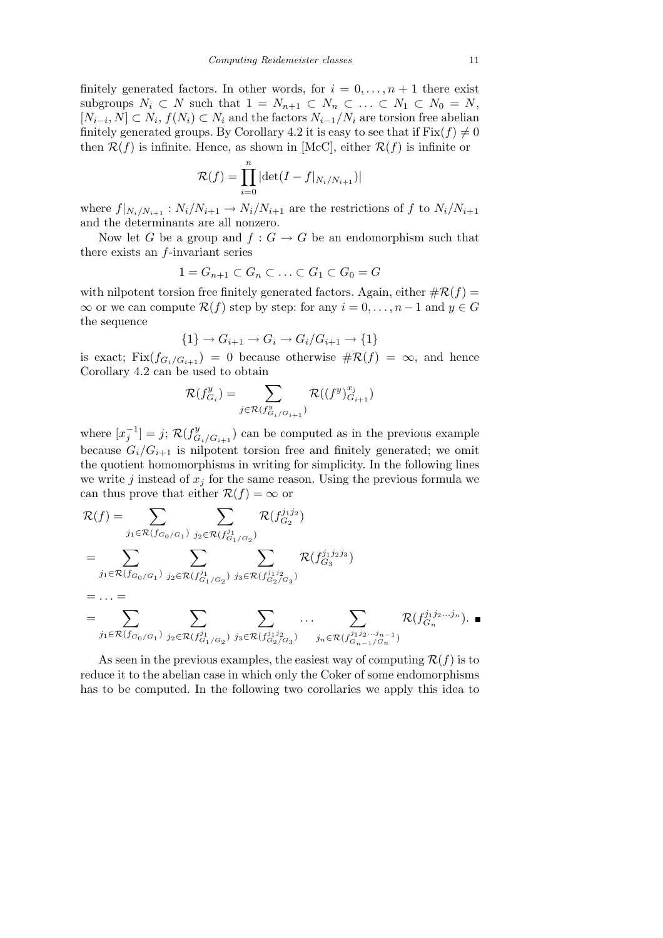finitely generated factors. In other words, for  $i = 0, \ldots, n + 1$  there exist subgroups  $N_i \subset N$  such that  $1 = N_{n+1} \subset N_n \subset \ldots \subset N_1 \subset N_0 = N$ ,  $[N_{i-i}, N]$  ⊂  $N_i$ ,  $f(N_i)$  ⊂  $N_i$  and the factors  $N_{i-1}/N_i$  are torsion free abelian finitely generated groups. By Corollary 4.2 it is easy to see that if  $Fix(f) \neq 0$ then  $\mathcal{R}(f)$  is infinite. Hence, as shown in [McC], either  $\mathcal{R}(f)$  is infinite or

$$
\mathcal{R}(f) = \prod_{i=0}^{n} |\det(I - f|_{N_i/N_{i+1}})|
$$

where  $f|_{N_i/N_{i+1}} : N_i/N_{i+1} \to N_i/N_{i+1}$  are the restrictions of  $f$  to  $N_i/N_{i+1}$ and the determinants are all nonzero.

Now let *G* be a group and  $f: G \to G$  be an endomorphism such that there exists an *f*-invariant series

$$
1 = G_{n+1} \subset G_n \subset \ldots \subset G_1 \subset G_0 = G
$$

with nilpotent torsion free finitely generated factors. Again, either  $\#\mathcal{R}(f) =$ *∞* or we can compute  $\mathcal{R}(f)$  step by step: for any  $i = 0, \ldots, n-1$  and  $y \in G$ the sequence

$$
\{1\} \to G_{i+1} \to G_i \to G_i/G_{i+1} \to \{1\}
$$

is exact; Fix $(f_{G_i/G_{i+1}}) = 0$  because otherwise  $\#\mathcal{R}(f) = \infty$ , and hence Corollary 4.2 can be used to obtain

$$
\mathcal{R}(f_{G_i}^y) = \sum_{j \in \mathcal{R}(f_{G_i/G_{i+1}}^y)} \mathcal{R}((f^y)_{G_{i+1}}^{x_j})
$$

where  $[x_j^{-1}] = j$ ;  $\mathcal{R}(f_G^y)$  $G_i/G_{i+1}$ ) can be computed as in the previous example because  $G_i/G_{i+1}$  is nilpotent torsion free and finitely generated; we omit the quotient homomorphisms in writing for simplicity. In the following lines we write  $j$  instead of  $x_j$  for the same reason. Using the previous formula we can thus prove that either  $\mathcal{R}(f) = \infty$  or

$$
\mathcal{R}(f) = \sum_{j_1 \in \mathcal{R}(f_{G_0/G_1})} \sum_{j_2 \in \mathcal{R}(f_{G_1/G_2}^{j_1})} \mathcal{R}(f_{G_2}^{j_1j_2})
$$
\n
$$
= \sum_{j_1 \in \mathcal{R}(f_{G_0/G_1})} \sum_{j_2 \in \mathcal{R}(f_{G_1/G_2}^{j_1})} \sum_{j_3 \in \mathcal{R}(f_{G_2/G_3}^{j_1j_2})} \mathcal{R}(f_{G_3}^{j_1j_2j_3})
$$
\n
$$
= \dots = \sum_{j_1 \in \mathcal{R}(f_{G_0/G_1})} \sum_{j_2 \in \mathcal{R}(f_{G_1/G_2}^{j_1})} \sum_{j_3 \in \mathcal{R}(f_{G_2/G_3}^{j_1j_2})} \dots \sum_{j_n \in \mathcal{R}(f_{G_{n-1}/G_n}^{j_1j_2...j_{n-1}})} \mathcal{R}(f_{G_n}^{j_1j_2...j_n}).
$$

As seen in the previous examples, the easiest way of computing  $\mathcal{R}(f)$  is to reduce it to the abelian case in which only the Coker of some endomorphisms has to be computed. In the following two corollaries we apply this idea to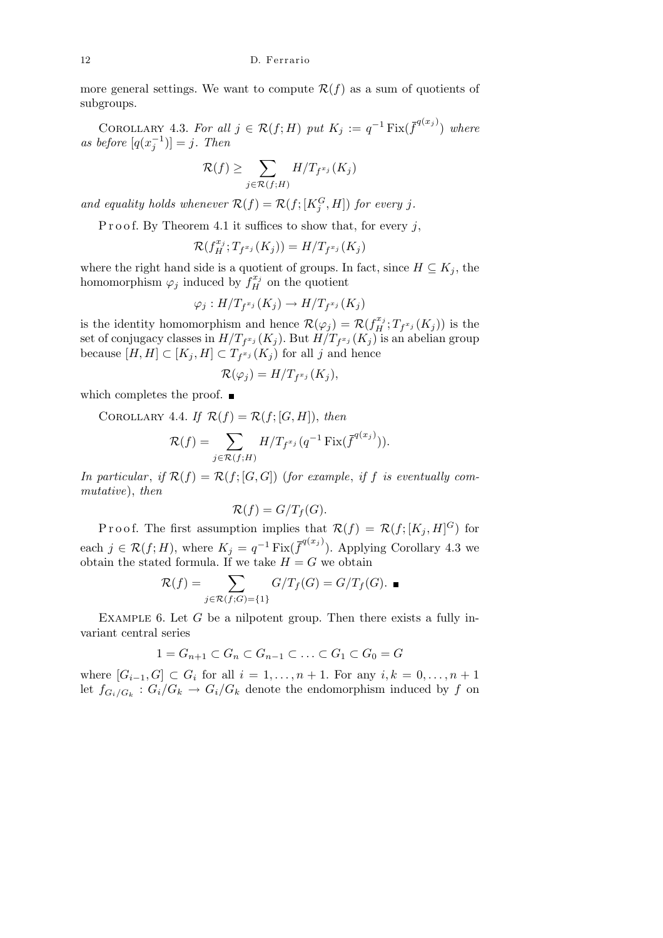more general settings. We want to compute  $\mathcal{R}(f)$  as a sum of quotients of subgroups.

COROLLARY 4.3. For all  $j \in \mathcal{R}(f; H)$  put  $K_j := q^{-1} \text{Fix}(\overline{f}^{q(x_j)})$  where *as before*  $[q(x_j^{-1})] = j$ *. Then* 

$$
\mathcal{R}(f) \ge \sum_{j \in \mathcal{R}(f;H)} H/T_{f^{x_j}}(K_j)
$$

*and equality holds whenever*  $\mathcal{R}(f) = \mathcal{R}(f; [K_j^G, H])$  *for every j.* 

P r o o f. By Theorem 4.1 it suffices to show that, for every  $j$ ,

$$
\mathcal{R}(f_H^{x_j};T_{f^{x_j}}(K_j))=H/T_{f^{x_j}}(K_j)
$$

where the right hand side is a quotient of groups. In fact, since  $H \subseteq K_j$ , the homomorphism  $\varphi_j$  induced by  $f_H^{x_j}$  on the quotient

$$
\varphi_j: H/T_{f^{x_j}}(K_j) \to H/T_{f^{x_j}}(K_j)
$$

is the identity homomorphism and hence  $\mathcal{R}(\varphi_j) = \mathcal{R}(f_H^{x_j}; T_{f^{x_j}}(K_j))$  is the set of conjugacy classes in  $H/T_{f^{x_j}}(K_j)$ . But  $H/T_{f^{x_j}}(K_j)$  is an abelian group because  $[H, H] \subset [K_j, H] \subset T_{f^{x_j}}(K_j)$  for all *j* and hence

$$
\mathcal{R}(\varphi_j) = H/T_{f^{x_j}}(K_j),
$$

which completes the proof.  $\blacksquare$ 

COROLLARY 4.4. If 
$$
\mathcal{R}(f) = \mathcal{R}(f; [G, H])
$$
, then

$$
\mathcal{R}(f) = \sum_{j \in \mathcal{R}(f;H)} H/T_{f^{x_j}}(q^{-1} \operatorname{Fix}(\overline{f}^{q(x_j)})).
$$

*In particular, if*  $\mathcal{R}(f) = \mathcal{R}(f; [G, G])$  (*for example, if f is eventually commutative*), *then*

$$
\mathcal{R}(f) = G/T_f(G).
$$

Proof. The first assumption implies that  $\mathcal{R}(f) = \mathcal{R}(f; [K_j, H]^G)$  for each  $j \in \mathcal{R}(f; H)$ , where  $K_j = q^{-1} \text{Fix}(\overline{f}^{q(x_j)})$ . Applying Corollary 4.3 we obtain the stated formula. If we take  $H = G$  we obtain

$$
\mathcal{R}(f) = \sum_{j \in \mathcal{R}(f;G) = \{1\}} G/T_f(G) = G/T_f(G).
$$

EXAMPLE 6. Let *G* be a nilpotent group. Then there exists a fully invariant central series

$$
1 = G_{n+1} \subset G_n \subset G_{n-1} \subset \ldots \subset G_1 \subset G_0 = G
$$

where  $[G_{i-1}, G] \subset G_i$  for all  $i = 1, ..., n + 1$ . For any  $i, k = 0, ..., n + 1$ let  $f_{G_i/G_k}: G_i/G_k \to G_i/G_k$  denote the endomorphism induced by  $f$  on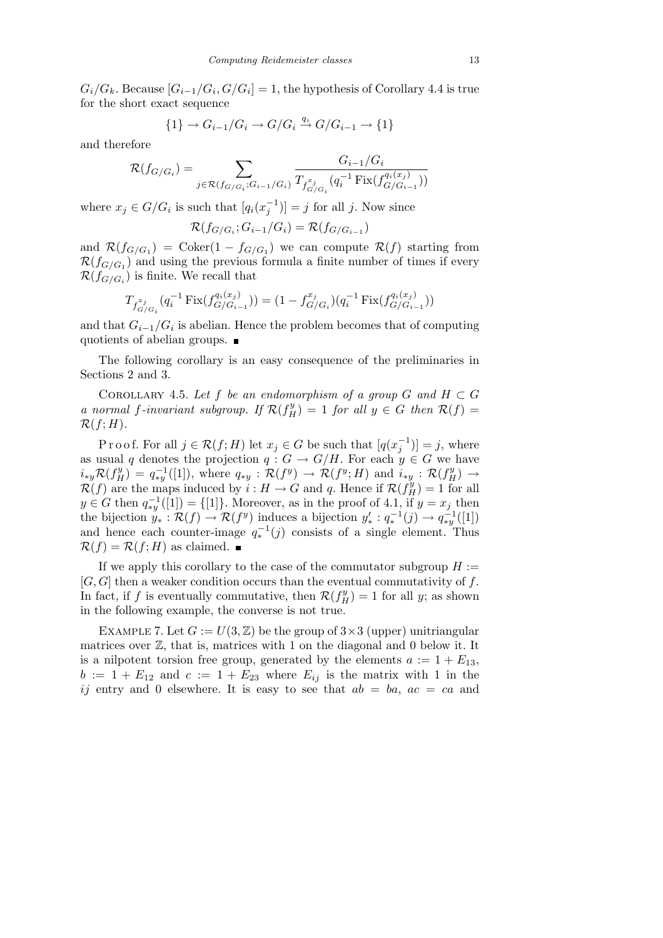$G_i/G_k$ . Because  $[G_{i-1}/G_i, G/G_i] = 1$ , the hypothesis of Corollary 4.4 is true for the short exact sequence

$$
\{1\} \to G_{i-1}/G_i \to G/G_i \xrightarrow{q_i} G/G_{i-1} \to \{1\}
$$

and therefore

$$
\mathcal{R}(f_{G/G_i}) = \sum_{j \in \mathcal{R}(f_{G/G_i}; G_{i-1}/G_i)} \frac{G_{i-1}/G_i}{T_{f_{G/G_i}^{x_j}}(q_i^{-1} \operatorname{Fix}(f_{G/G_{i-1}}^{q_i(x_j)}))}
$$

where  $x_j \in G/G_i$  is such that  $[q_i(x_j^{-1})] = j$  for all *j*. Now since

$$
\mathcal{R}(f_{G/G_i}; G_{i-1}/G_i) = \mathcal{R}(f_{G/G_{i-1}})
$$

and  $\mathcal{R}(f_{G/G_1}) = \text{Coker}(1 - f_{G/G_1})$  we can compute  $\mathcal{R}(f)$  starting from  $\mathcal{R}(f_{G/G_1})$  and using the previous formula a finite number of times if every  $\mathcal{R}(f_{G/G_i})$  is finite. We recall that

$$
T_{f_{G/G_i}^{x_j}}(q_i^{-1} \operatorname{Fix}(f_{G/G_{i-1}}^{q_i(x_j)})) = (1 - f_{G/G_i}^{x_j})(q_i^{-1} \operatorname{Fix}(f_{G/G_{i-1}}^{q_i(x_j)}))
$$

and that *Gi−*1*/G<sup>i</sup>* is abelian. Hence the problem becomes that of computing quotients of abelian groups.

The following corollary is an easy consequence of the preliminaries in Sections 2 and 3.

COROLLARY 4.5. Let  $f$  be an endomorphism of a group  $G$  and  $H \subset G$ *a* normal *f*-invariant subgroup. If  $\mathcal{R}(f_H^y) = 1$  *for all*  $y \in G$  *then*  $\mathcal{R}(f) =$  $\mathcal{R}(f;H)$ .

P r o o f. For all  $j \in \mathcal{R}(f; H)$  let  $x_j \in G$  be such that  $[q(x_j^{-1})] = j$ , where as usual *q* denotes the projection  $q: G \to G/H$ . For each  $y \in G$  we have  $i_{*y}\mathcal{R}(f_H^y) = q_{*y}^{-1}([1]),$  where  $q_{*y} : \mathcal{R}(f^y) \to \mathcal{R}(f^y; H)$  and  $i_{*y} : \mathcal{R}(f_H^y) \to$  $R(f)$  are the maps induced by  $i : H \to G$  and *q*. Hence if  $R(f_H^y) = 1$  for all  $y \in G$  then  $q_{*y}^{-1}([1]) = \{ [1] \}$ . Moreover, as in the proof of 4.1, if  $y = x_j$  then the bijection  $y^{\prime}_{*} : \mathcal{R}(f) \to \mathcal{R}(f^{y})$  induces a bijection  $y^{\prime}_{*} : q^{-1}(j) \to q^{-1}_{*y}([1])$ and hence each counter-image  $q_*^{-1}(j)$  consists of a single element. Thus  $\mathcal{R}(f) = \mathcal{R}(f; H)$  as claimed.

If we apply this corollary to the case of the commutator subgroup  $H :=$ [*G, G*] then a weaker condition occurs than the eventual commutativity of *f*. In fact, if *f* is eventually commutative, then  $\mathcal{R}(f_H^y) = 1$  for all *y*; as shown in the following example, the converse is not true.

EXAMPLE 7. Let  $G := U(3, \mathbb{Z})$  be the group of  $3 \times 3$  (upper) unitriangular matrices over  $\mathbb{Z}$ , that is, matrices with 1 on the diagonal and 0 below it. It is a nilpotent torsion free group, generated by the elements  $a := 1 + E_{13}$ ,  $b := 1 + E_{12}$  and  $c := 1 + E_{23}$  where  $E_{ij}$  is the matrix with 1 in the *ij* entry and 0 elsewhere. It is easy to see that  $ab = ba$ ,  $ac = ca$  and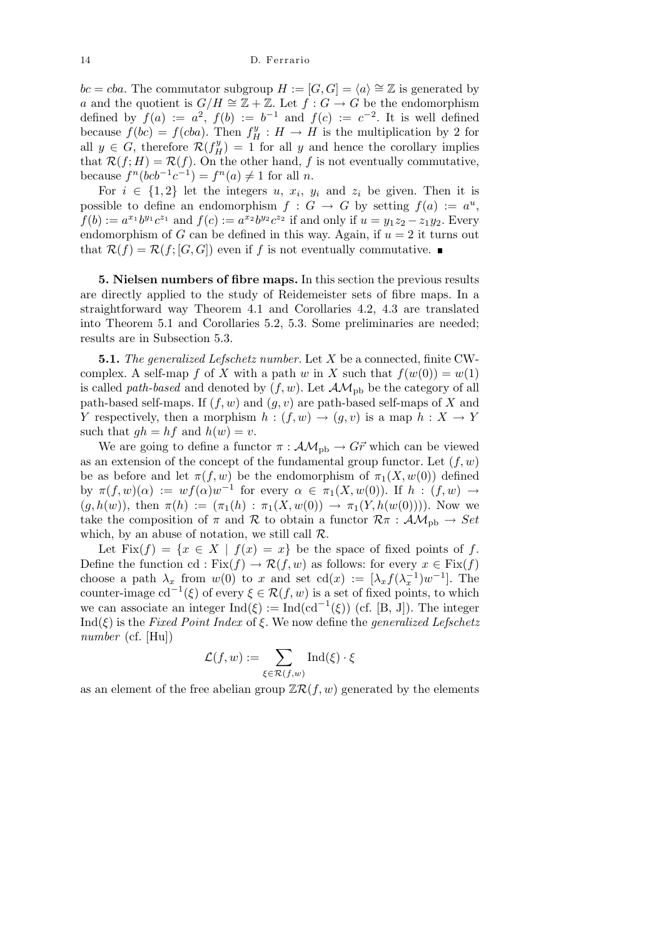*bc* = *cba*. The commutator subgroup  $H := [G, G] = \langle a \rangle \cong \mathbb{Z}$  is generated by *a* and the quotient is  $G/H \cong \mathbb{Z} + \mathbb{Z}$ . Let *f* :  $G \rightarrow G$  be the endomorphism defined by  $f(a) := a^2$ ,  $f(b) := b^{-1}$  and  $f(c) := c^{-2}$ . It is well defined because  $f(bc) = f(cba)$ . Then  $f_H^y : H \to H$  is the multiplication by 2 for all  $y \in G$ , therefore  $\mathcal{R}(f_H^y) = 1$  for all *y* and hence the corollary implies that  $\mathcal{R}(f; H) = \mathcal{R}(f)$ . On the other hand, f is not eventually commutative,  $\text{because } f^{n}(\text{bcb}^{-1}\text{c}^{-1}) = f^{n}(a) \neq 1 \text{ for all } n.$ 

For  $i \in \{1,2\}$  let the integers  $u, x_i, y_i$  and  $z_i$  be given. Then it is possible to define an endomorphism  $f : G \to G$  by setting  $f(a) := a^u$ ,  $f(b) := a^{x_1}b^{y_1}c^{z_1}$  and  $f(c) := a^{x_2}b^{y_2}c^{z_2}$  if and only if  $u = y_1z_2 - z_1y_2$ . Every endomorphism of *G* can be defined in this way. Again, if  $u = 2$  it turns out that  $\mathcal{R}(f) = \mathcal{R}(f; [G, G])$  even if f is not eventually commutative.

**5. Nielsen numbers of fibre maps.** In this section the previous results are directly applied to the study of Reidemeister sets of fibre maps. In a straightforward way Theorem 4.1 and Corollaries 4.2, 4.3 are translated into Theorem 5.1 and Corollaries 5.2, 5.3. Some preliminaries are needed; results are in Subsection 5.3.

**5.1.** *The generalized Lefschetz number.* Let *X* be a connected, finite CWcomplex. A self-map *f* of *X* with a path *w* in *X* such that  $f(w(0)) = w(1)$ is called *path-based* and denoted by  $(f, w)$ . Let  $\mathcal{AM}_{\text{pb}}$  be the category of all path-based self-maps. If (*f, w*) and (*g, v*) are path-based self-maps of *X* and *Y* respectively, then a morphism  $h : (f, w) \rightarrow (g, v)$  is a map  $h : X \rightarrow Y$ such that  $gh = hf$  and  $h(w) = v$ .

We are going to define a functor  $\pi : \mathcal{AM}_{\text{pb}} \to G\vec{r}$  which can be viewed as an extension of the concept of the fundamental group functor. Let  $(f, w)$ be as before and let  $\pi(f, w)$  be the endomorphism of  $\pi_1(X, w(0))$  defined by  $\pi(f, w)(\alpha) := wf(\alpha)w^{-1}$  for every  $\alpha \in \pi_1(X, w(0))$ . If  $h : (f, w) \to$  $(g, h(w))$ , then  $\pi(h) := (\pi_1(h) : \pi_1(X, w(0)) \to \pi_1(Y, h(w(0))))$ . Now we take the composition of  $\pi$  and  $\mathcal R$  to obtain a functor  $\mathcal R\pi$  :  $\mathcal AM_{\text{pb}} \to Set$ which, by an abuse of notation, we still call *R*.

Let  $Fix(f) = \{x \in X \mid f(x) = x\}$  be the space of fixed points of f. Define the function cd :  $Fix(f) \to \mathcal{R}(f, w)$  as follows: for every  $x \in Fix(f)$ choose a path  $\lambda_x$  from  $w(0)$  to *x* and set cd(*x*) := [ $\lambda_x f(\lambda_x^{-1})w^{-1}$ ]. The counter-image  $cd^{-1}(\xi)$  of every  $\xi \in \mathcal{R}(f, w)$  is a set of fixed points, to which we can associate an integer  $\text{Ind}(\xi) := \text{Ind}(\text{cd}^{-1}(\xi))$  (cf. [B, J]). The integer Ind(*ξ*) is the *Fixed Point Index* of *ξ*. We now define the *generalized Lefschetz number* (cf. [Hu])

$$
\mathcal{L}(f, w) := \sum_{\xi \in \mathcal{R}(f, w)} \operatorname{Ind}(\xi) \cdot \xi
$$

as an element of the free abelian group  $\mathbb{Z}\mathcal{R}(f, w)$  generated by the elements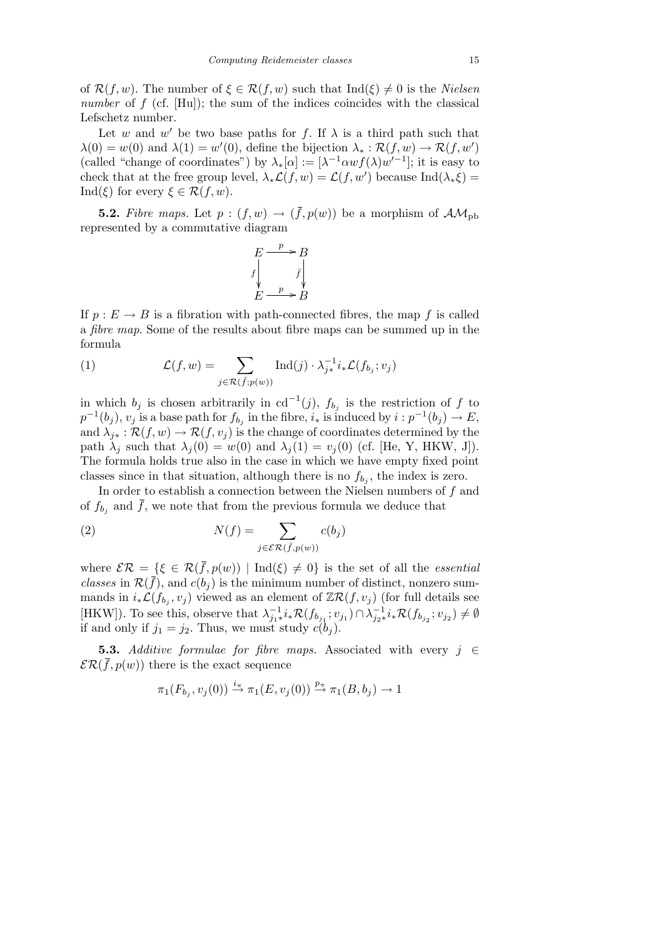of  $\mathcal{R}(f, w)$ . The number of  $\xi \in \mathcal{R}(f, w)$  such that  $\text{Ind}(\xi) \neq 0$  is the *Nielsen number* of *f* (cf. [Hu]); the sum of the indices coincides with the classical Lefschetz number.

Let *w* and *w'* be two base paths for *f*. If  $\lambda$  is a third path such that  $\lambda(0) = w(0)$  and  $\lambda(1) = w'(0)$ , define the bijection  $\lambda_* : \mathcal{R}(f, w) \to \mathcal{R}(f, w')$ (called "change of coordinates") by  $\lambda_*[\alpha] := [\lambda^{-1} \alpha w f(\lambda) w'^{-1}]$ ; it is easy to check that at the free group level,  $\lambda_* \mathcal{L}(f, w) = \mathcal{L}(f, w')$  because  $\text{Ind}(\lambda_* \xi) =$ Ind( $\xi$ ) for every  $\xi \in \mathcal{R}(f, w)$ .

**5.2.** Fibre maps. Let  $p:(f, w) \rightarrow (\bar{f}, p(w))$  be a morphism of  $AM_{pb}$ represented by a commutative diagram

$$
E \xrightarrow{p} B
$$
  
f  

$$
f \downarrow \qquad f \downarrow
$$
  

$$
E \xrightarrow{p} B
$$

If  $p: E \to B$  is a fibration with path-connected fibres, the map f is called a *fibre map*. Some of the results about fibre maps can be summed up in the formula

(1) 
$$
\mathcal{L}(f, w) = \sum_{j \in \mathcal{R}(\bar{f}; p(w))} \text{Ind}(j) \cdot \lambda_{j*}^{-1} i_* \mathcal{L}(f_{b_j}; v_j)
$$

in which  $b_j$  is chosen arbitrarily in  $cd^{-1}(j)$ ,  $f_{b_j}$  is the restriction of  $f$  to  $p^{-1}(b_j)$ ,  $v_j$  is a base path for  $f_{b_j}$  in the fibre,  $i_*$  is induced by  $i : p^{-1}(b_j) \to E$ , and  $\lambda_{i*} : \mathcal{R}(f, w) \to \mathcal{R}(f, v_i)$  is the change of coordinates determined by the path  $\lambda_j$  such that  $\lambda_j(0) = w(0)$  and  $\lambda_j(1) = v_j(0)$  (cf. [He, Y, HKW, J]). The formula holds true also in the case in which we have empty fixed point classes since in that situation, although there is no  $f_{b_j}$ , the index is zero.

In order to establish a connection between the Nielsen numbers of *f* and of  $f_{b_j}$  and  $\bar{f}$ , we note that from the previous formula we deduce that

(2) 
$$
N(f) = \sum_{j \in \mathcal{ER}(\bar{f}, p(w))} c(b_j)
$$

where  $\mathcal{ER} = \{\xi \in \mathcal{R}(\bar{f}, p(w)) \mid \text{Ind}(\xi) \neq 0\}$  is the set of all the *essential classes* in  $\mathcal{R}(\bar{f})$ , and  $c(b_i)$  is the minimum number of distinct, nonzero summands in  $i_*\mathcal{L}(f_{b_j}, v_j)$  viewed as an element of  $\mathbb{Z}\mathcal{R}(f, v_j)$  (for full details see [HKW]). To see this, observe that  $\lambda_{j_1*}^{-1} i_* \mathcal{R}(f_{b_{j_1}}; v_{j_1}) \cap \lambda_{j_2*}^{-1} i_* \mathcal{R}(f_{b_{j_2}}; v_{j_2}) \neq \emptyset$ if and only if  $j_1 = j_2$ . Thus, we must study  $c(b_j)$ .

**5.3.** *Additive formulae for fibre maps.* Associated with every *j ∈*  $\mathcal{ER}(\bar{f}, p(w))$  there is the exact sequence

$$
\pi_1(F_{b_j}, v_j(0)) \stackrel{i_{\pi}}{\rightarrow} \pi_1(E, v_j(0)) \stackrel{p_{\pi}}{\rightarrow} \pi_1(B, b_j) \rightarrow 1
$$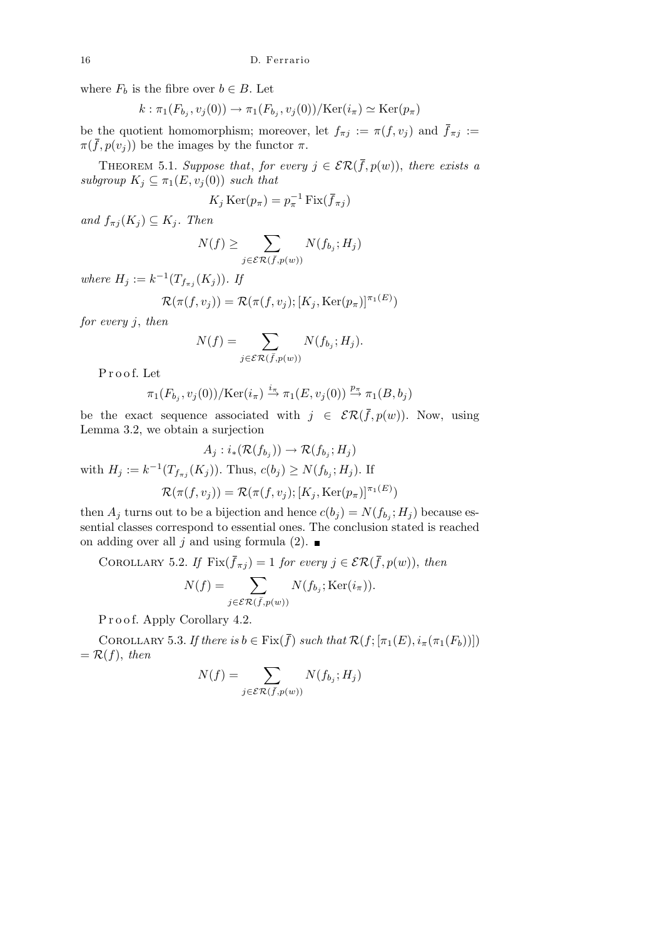where  $F_b$  is the fibre over  $b \in B$ . Let

$$
k : \pi_1(F_{b_j}, v_j(0)) \to \pi_1(F_{b_j}, v_j(0)) / \text{Ker}(i_{\pi}) \simeq \text{Ker}(p_{\pi})
$$

be the quotient homomorphism; moreover, let  $f_{\pi j} := \pi(f, v_j)$  and  $\bar{f}_{\pi j} :=$  $\pi(\bar{f}, p(v_i))$  be the images by the functor  $\pi$ .

THEOREM 5.1. *Suppose that, for every*  $j \in \mathcal{ER}(\bar{f}, p(w))$ , *there exists a subgroup*  $K_j \subseteq \pi_1(E, v_j(0))$  *such that* 

$$
K_j \operatorname{Ker}(p_\pi) = p_\pi^{-1} \operatorname{Fix}(\bar{f}_{\pi j})
$$

 $and f_{\pi j}(K_j) \subseteq K_j$ *. Then* 

$$
N(f) \ge \sum_{j \in \mathcal{ER}(\bar{f}, p(w))} N(f_{b_j}; H_j)
$$

*where*  $H_j := k^{-1}(T_{f_{\pi j}}(K_j))$ *. If* 

$$
\mathcal{R}(\pi(f, v_j)) = \mathcal{R}(\pi(f, v_j); [K_j, \text{Ker}(p_{\pi})]^{\pi_1(E)})
$$

*for every j*, *then*

$$
N(f) = \sum_{j \in \mathcal{ER}(\bar{f}, p(w))} N(f_{b_j}; H_j).
$$

P r o o f. Let

$$
\pi_1(F_{b_j}, v_j(0))/\text{Ker}(i_\pi) \stackrel{i_\pi}{\to} \pi_1(E, v_j(0)) \stackrel{p_\pi}{\to} \pi_1(B, b_j)
$$

be the exact sequence associated with  $j \in \mathcal{ER}(\bar{f}, p(w))$ . Now, using Lemma 3.2, we obtain a surjection

$$
A_j: i_*(\mathcal{R}(f_{b_j})) \to \mathcal{R}(f_{b_j}; H_j)
$$
  
with  $H_j := k^{-1}(T_{f_{\pi_j}}(K_j))$ . Thus,  $c(b_j) \ge N(f_{b_j}; H_j)$ . If  

$$
\mathcal{R}(\pi(f, v_j)) = \mathcal{R}(\pi(f, v_j); [K_j, \text{Ker}(p_{\pi})]^{\pi_1(E)})
$$

then  $A_j$  turns out to be a bijection and hence  $c(b_j) = N(f_{b_j}; H_j)$  because essential classes correspond to essential ones. The conclusion stated is reached on adding over all *j* and using formula (2).

COROLLARY 5.2. If  $\text{Fix}(\bar{f}_{\pi j}) = 1$  for every  $j \in \mathcal{ER}(\bar{f}, p(w))$ , then

$$
N(f) = \sum_{j \in \mathcal{ER}(\bar{f}, p(w))} N(f_{b_j}; \text{Ker}(i_{\pi})).
$$

Proof. Apply Corollary 4.2.

COROLLARY 5.3. If there is  $b \in \text{Fix}(\bar{f})$  such that  $\mathcal{R}(f; [\pi_1(E), i_\pi(\pi_1(F_b))])$  $= \mathcal{R}(f)$ , *then* 

$$
N(f) = \sum_{j \in \mathcal{ER}(\bar{f}, p(w))} N(f_{b_j}; H_j)
$$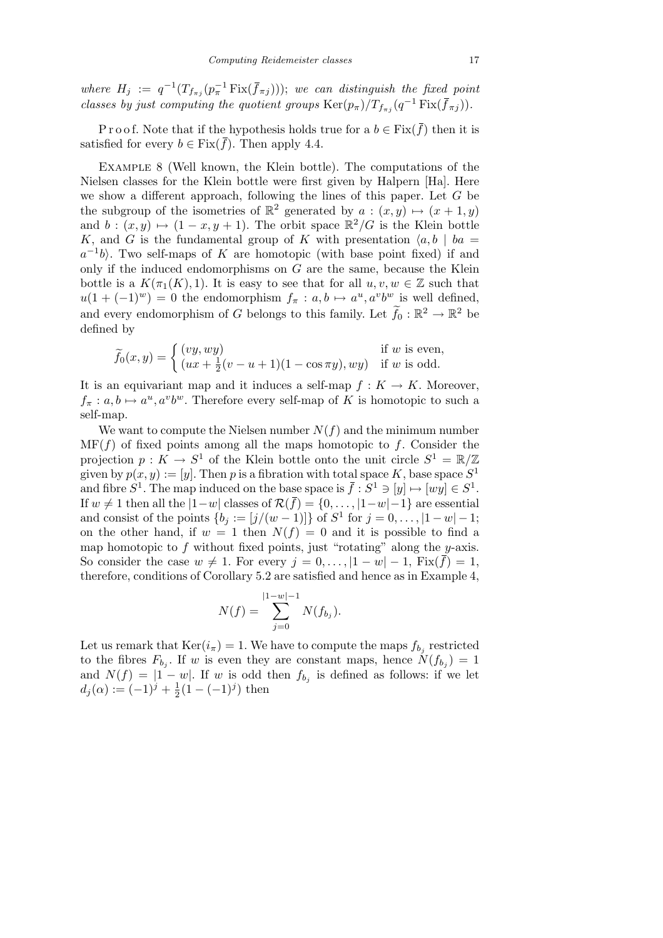*where*  $H_j := q^{-1}(T_{f_{\pi j}}(p_{\pi}^{-1} \text{Fix}(\bar{f}_{\pi j})))$ ; *we can distinguish the fixed point classes by just computing the quotient groups*  $\text{Ker}(p_{\pi})/T_{f_{\pi j}}(q^{-1}\text{Fix}(\bar{f}_{\pi j}))$ .

P r o o f. Note that if the hypothesis holds true for a  $b \in \text{Fix}(\bar{f})$  then it is satisfied for every  $b \in Fix(\overline{f})$ . Then apply 4.4.

Example 8 (Well known, the Klein bottle). The computations of the Nielsen classes for the Klein bottle were first given by Halpern [Ha]. Here we show a different approach, following the lines of this paper. Let *G* be the subgroup of the isometries of  $\mathbb{R}^2$  generated by  $a:(x,y)\mapsto (x+1,y)$ and  $b:(x,y) \mapsto (1-x, y+1)$ . The orbit space  $\mathbb{R}^2/G$  is the Klein bottle *K*, and *G* is the fundamental group of *K* with presentation  $\langle a, b \rangle$  *ba* =  $a^{-1}b$ . Two self-maps of *K* are homotopic (with base point fixed) if and only if the induced endomorphisms on *G* are the same, because the Klein bottle is a  $K(\pi_1(K), 1)$ . It is easy to see that for all  $u, v, w \in \mathbb{Z}$  such that  $u(1 + (-1)^w) = 0$  the endomorphism  $f_\pi : a, b \mapsto a^u, a^v b^w$  is well defined, and every endomorphism of *G* belongs to this family. Let  $\tilde{f}_0 : \mathbb{R}^2 \to \mathbb{R}^2$  be defined by

$$
\widetilde{f}_0(x,y) = \begin{cases}\n(vy, wy) & \text{if } w \text{ is even,} \\
(xx + \frac{1}{2}(v - u + 1)(1 - \cos \pi y), wy) & \text{if } w \text{ is odd.}\n\end{cases}
$$

It is an equivariant map and it induces a self-map  $f: K \to K$ . Moreover,  $f_{\pi}: a, b \mapsto a^u, a^v b^w$ . Therefore every self-map of *K* is homotopic to such a self-map.

We want to compute the Nielsen number  $N(f)$  and the minimum number  $MF(f)$  of fixed points among all the maps homotopic to  $f$ . Consider the projection  $p: K \to S^1$  of the Klein bottle onto the unit circle  $S^1 = \mathbb{R}/\mathbb{Z}$ given by  $p(x, y) := [y]$ . Then p is a fibration with total space K, base space  $S^1$ and fibre  $S^1$ . The map induced on the base space is  $\bar{f}: S^1 \ni [y] \mapsto [wy] \in S^1$ . If *w* ≠ 1 then all the  $|1-w|$  classes of  $\mathcal{R}(\bar{f}) = \{0, \ldots, |1-w|-1\}$  are essential and consist of the points  $\{b_j := [j/(w-1)]\}$  of  $S^1$  for  $j = 0, ..., |1-w|-1$ ; on the other hand, if  $w = 1$  then  $N(f) = 0$  and it is possible to find a map homotopic to *f* without fixed points, just "rotating" along the *y*-axis. So consider the case  $w \neq 1$ . For every  $j = 0, \ldots, |1 - w| - 1$ , Fix $(\bar{f}) = 1$ , therefore, conditions of Corollary 5.2 are satisfied and hence as in Example 4,

$$
N(f) = \sum_{j=0}^{|1-w|-1} N(f_{b_j}).
$$

Let us remark that  $\text{Ker}(i_{\pi}) = 1$ . We have to compute the maps  $f_{b_j}$  restricted to the fibres  $F_{b_j}$ . If *w* is even they are constant maps, hence  $N(f_{b_j}) = 1$ and  $N(f) = |1 - w|$ . If *w* is odd then  $f_{b_j}$  is defined as follows: if we let  $d_j(\alpha) := (-1)^j + \frac{1}{2}$  $\frac{1}{2}(1 - (-1)^j)$  then